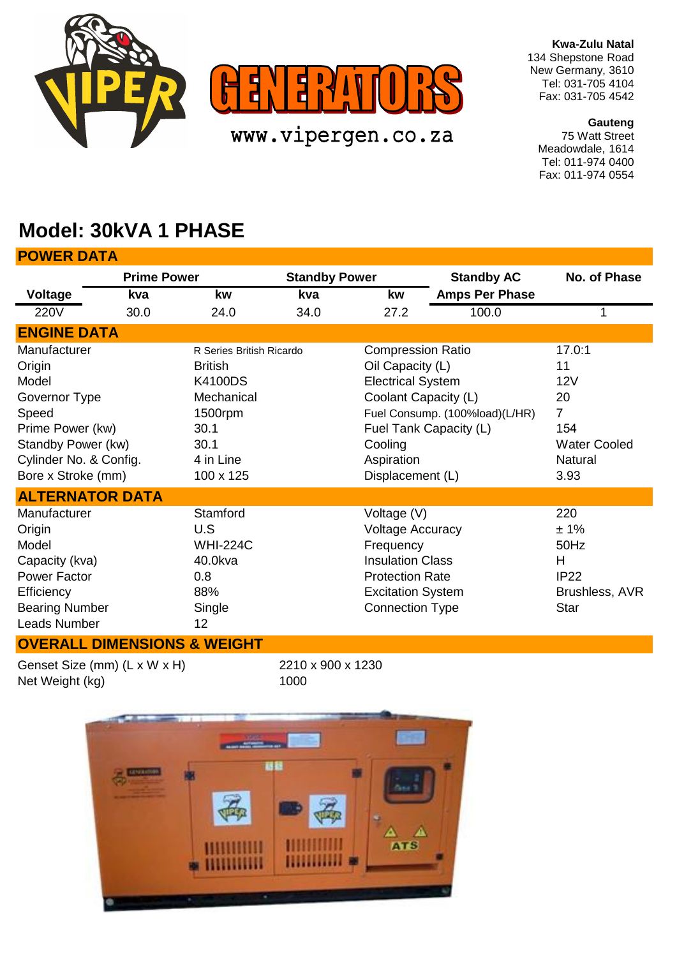

**Kwa-Zulu Natal** 134 Shepstone Road New Germany, 3610 Tel: 031-705 4104 Fax: 031-705 4542

**Gauteng** 75 Watt Street Meadowdale, 1614 Tel: 011-974 0400 Fax: 011-974 0554

## **Model: 30kVA 1 PHASE**

| <b>POWER DATA</b>                                                                                                                                   |                    |                                                                                                                                 |                      |                                                                                                                                                                |                                                          |                                                                                              |
|-----------------------------------------------------------------------------------------------------------------------------------------------------|--------------------|---------------------------------------------------------------------------------------------------------------------------------|----------------------|----------------------------------------------------------------------------------------------------------------------------------------------------------------|----------------------------------------------------------|----------------------------------------------------------------------------------------------|
|                                                                                                                                                     | <b>Prime Power</b> |                                                                                                                                 | <b>Standby Power</b> |                                                                                                                                                                | <b>Standby AC</b>                                        | No. of Phase                                                                                 |
| <b>Voltage</b>                                                                                                                                      | kva                | kw                                                                                                                              | kva                  | kw                                                                                                                                                             | <b>Amps Per Phase</b>                                    |                                                                                              |
| <b>220V</b>                                                                                                                                         | 30.0               | 24.0                                                                                                                            | 34.0                 | 27.2                                                                                                                                                           | 100.0                                                    |                                                                                              |
| <b>ENGINE DATA</b>                                                                                                                                  |                    |                                                                                                                                 |                      |                                                                                                                                                                |                                                          |                                                                                              |
| Manufacturer<br>Origin<br>Model<br>Governor Type<br>Speed<br>Prime Power (kw)<br>Standby Power (kw)<br>Cylinder No. & Config.<br>Bore x Stroke (mm) |                    | R Series British Ricardo<br><b>British</b><br><b>K4100DS</b><br>Mechanical<br>1500rpm<br>30.1<br>30.1<br>4 in Line<br>100 x 125 |                      | <b>Compression Ratio</b><br>Oil Capacity (L)<br><b>Electrical System</b><br>Coolant Capacity (L)<br>Cooling<br>Aspiration<br>Displacement (L)                  | Fuel Consump. (100%load)(L/HR)<br>Fuel Tank Capacity (L) | 17.0:1<br>11<br>12V<br>20<br>$\overline{7}$<br>154<br><b>Water Cooled</b><br>Natural<br>3.93 |
| <b>ALTERNATOR DATA</b>                                                                                                                              |                    |                                                                                                                                 |                      |                                                                                                                                                                |                                                          |                                                                                              |
| Manufacturer<br>Origin<br>Model<br>Capacity (kva)<br><b>Power Factor</b><br>Efficiency<br><b>Bearing Number</b><br><b>Leads Number</b>              |                    | Stamford<br>U.S<br><b>WHI-224C</b><br>40.0kva<br>0.8<br>88%<br>Single<br>12                                                     |                      | Voltage (V)<br><b>Voltage Accuracy</b><br>Frequency<br><b>Insulation Class</b><br><b>Protection Rate</b><br><b>Excitation System</b><br><b>Connection Type</b> |                                                          | 220<br>± 1%<br>50Hz<br>H<br><b>IP22</b><br>Brushless, AVR<br><b>Star</b>                     |

## **OVERALL DIMENSIONS & WEIGHT**

Genset Size (mm) (L x W x H) Net Weight (kg)

2210 x 900 x 1230 1000